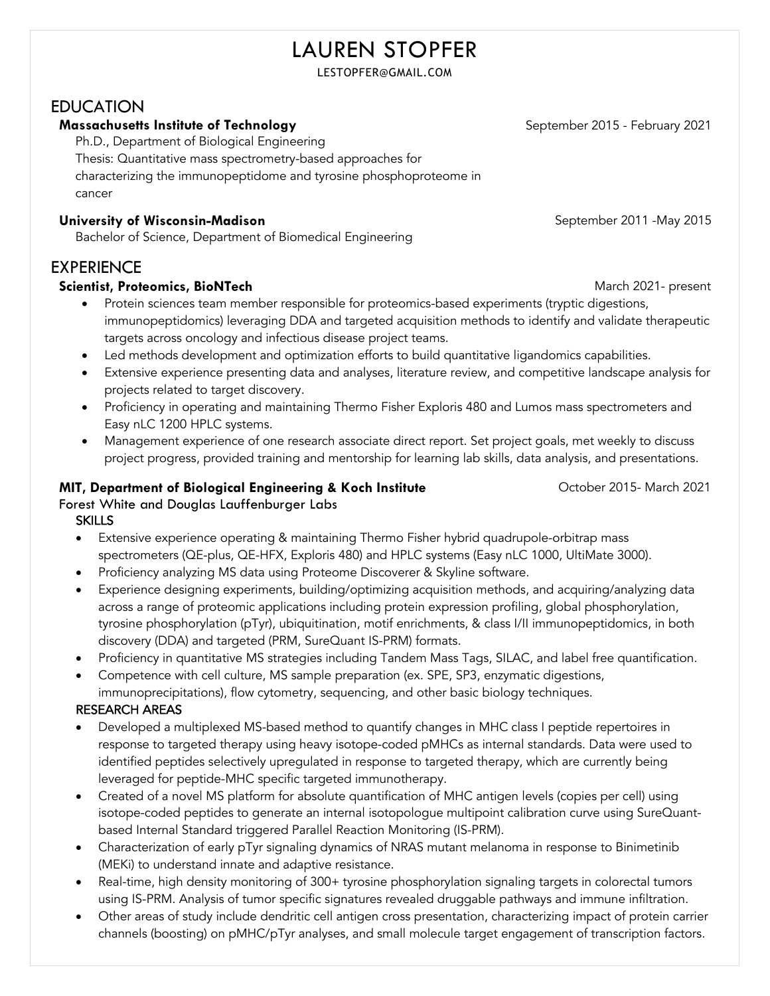# LAUREN STOPFER

LESTOPFER@GMAIL.COM

## EDUCATION

#### **Massachusetts Institute of Technology September 2015 - February 2021**

Ph.D., Department of Biological Engineering

Thesis: Quantitative mass spectrometry-based approaches for

characterizing the immunopeptidome and tyrosine phosphoproteome in

cancer

#### **University of Wisconsin-Madison September 2011** - May 2015

Bachelor of Science, Department of Biomedical Engineering

## EXPERIENCE

#### **Scientist, Proteomics, BioNTech** March 2021- present

- Protein sciences team member responsible for proteomics-based experiments (tryptic digestions, immunopeptidomics) leveraging DDA and targeted acquisition methods to identify and validate therapeutic targets across oncology and infectious disease project teams.
- Led methods development and optimization efforts to build quantitative ligandomics capabilities.
- Extensive experience presenting data and analyses, literature review, and competitive landscape analysis for projects related to target discovery.
- Proficiency in operating and maintaining Thermo Fisher Exploris 480 and Lumos mass spectrometers and Easy nLC 1200 HPLC systems.
- Management experience of one research associate direct report. Set project goals, met weekly to discuss project progress, provided training and mentorship for learning lab skills, data analysis, and presentations.

#### **MIT, Department of Biological Engineering & Koch Institute** Forest White and Douglas Lauffenburger Labs **SKILLS**

- Extensive experience operating & maintaining Thermo Fisher hybrid quadrupole-orbitrap mass spectrometers (QE-plus, QE-HFX, Exploris 480) and HPLC systems (Easy nLC 1000, UltiMate 3000).
- Proficiency analyzing MS data using Proteome Discoverer & Skyline software.
- Experience designing experiments, building/optimizing acquisition methods, and acquiring/analyzing data across a range of proteomic applications including protein expression profiling, global phosphorylation, tyrosine phosphorylation (pTyr), ubiquitination, motif enrichments, & class I/II immunopeptidomics, in both discovery (DDA) and targeted (PRM, SureQuant IS-PRM) formats.
- Proficiency in quantitative MS strategies including Tandem Mass Tags, SILAC, and label free quantification.
- Competence with cell culture, MS sample preparation (ex. SPE, SP3, enzymatic digestions, immunoprecipitations), flow cytometry, sequencing, and other basic biology techniques.

#### RESEARCH AREAS

- Developed a multiplexed MS-based method to quantify changes in MHC class I peptide repertoires in response to targeted therapy using heavy isotope-coded pMHCs as internal standards. Data were used to identified peptides selectively upregulated in response to targeted therapy, which are currently being leveraged for peptide-MHC specific targeted immunotherapy.
- Created of a novel MS platform for absolute quantification of MHC antigen levels (copies per cell) using isotope-coded peptides to generate an internal isotopologue multipoint calibration curve using SureQuantbased Internal Standard triggered Parallel Reaction Monitoring (IS-PRM).
- Characterization of early pTyr signaling dynamics of NRAS mutant melanoma in response to Binimetinib (MEKi) to understand innate and adaptive resistance.
- Real-time, high density monitoring of 300+ tyrosine phosphorylation signaling targets in colorectal tumors using IS-PRM. Analysis of tumor specific signatures revealed druggable pathways and immune infiltration.
- Other areas of study include dendritic cell antigen cross presentation, characterizing impact of protein carrier channels (boosting) on pMHC/pTyr analyses, and small molecule target engagement of transcription factors.

October 2015- March 2021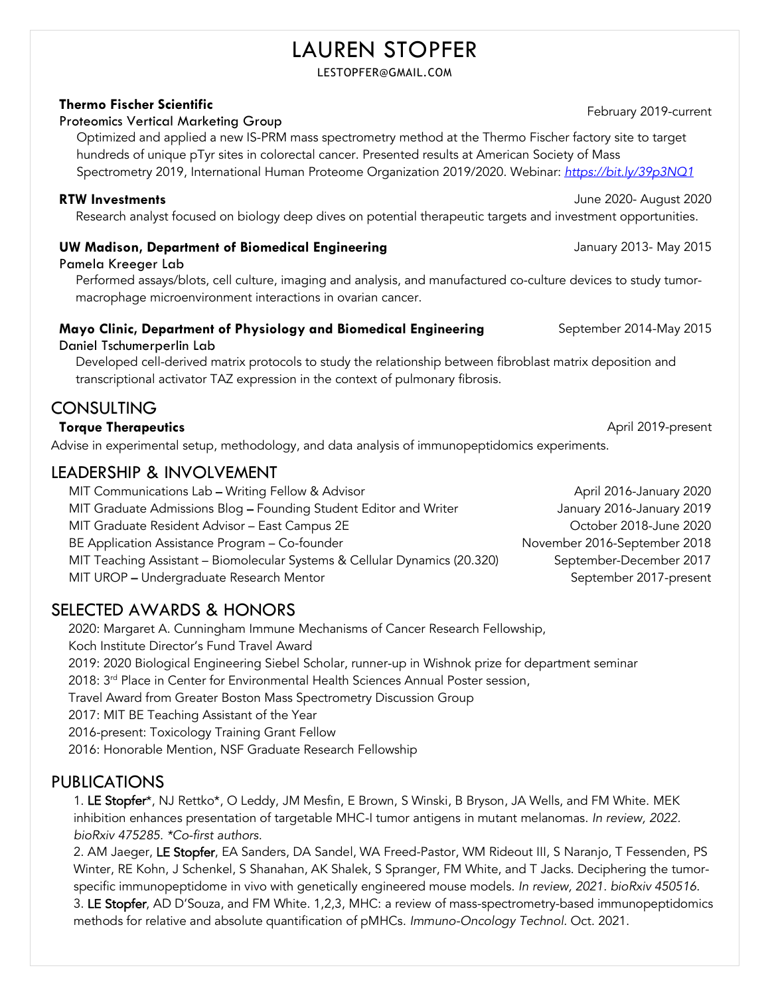# LAUREN STOPFER

LESTOPFER@GMAIL.COM

#### **Thermo Fischer Scientific**

## **Thermo Fischer Sciemmic**<br>Proteomics Vertical Marketing Group

 Optimized and applied a new IS-PRM mass spectrometry method at the Thermo Fischer factory site to target hundreds of unique pTyr sites in colorectal cancer. Presented results at American Society of Mass Spectrometry 2019, International Human Proteome Organization 2019/2020. Webinar: *https://bit.ly/39p3NQ1*

#### **RTW Investments** June 2020- August 2020

Research analyst focused on biology deep dives on potential therapeutic targets and investment opportunities.

#### **UW Madison, Department of Biomedical Engineering**

Pamela Kreeger Lab

Performed assays/blots, cell culture, imaging and analysis, and manufactured co-culture devices to study tumormacrophage microenvironment interactions in ovarian cancer.

## **Mayo Clinic, Department of Physiology and Biomedical Engineering**

Daniel Tschumerperlin Lab

Developed cell-derived matrix protocols to study the relationship between fibroblast matrix deposition and transcriptional activator TAZ expression in the context of pulmonary fibrosis.

## CONSULTING

#### **Torque Therapeutics** April 2019-present

Advise in experimental setup, methodology, and data analysis of immunopeptidomics experiments.

### LEADERSHIP & INVOLVEMENT

MIT Communications Lab – Writing Fellow & Advisor **Automas Communications Lab – Writing Fellow & Advisor** April 2016-January 2020 MIT Graduate Admissions Blog - Founding Student Editor and Writer States and Muller January 2016-January 2019 MIT Graduate Resident Advisor – East Campus 2E and Communication of Campus 2020 Communication Corollection of C BE Application Assistance Program – Co-founder November 2016-September 2018 MIT Teaching Assistant – Biomolecular Systems & Cellular Dynamics (20.320) September-December 2017 MIT UROP – Undergraduate Research Mentor September 2017-present

## SELECTED AWARDS & HONORS

 2020: Margaret A. Cunningham Immune Mechanisms of Cancer Research Fellowship, Koch Institute Director's Fund Travel Award 2019: 2020 Biological Engineering Siebel Scholar, runner-up in Wishnok prize for department seminar 2018: 3rd Place in Center for Environmental Health Sciences Annual Poster session, Travel Award from Greater Boston Mass Spectrometry Discussion Group 2017: MIT BE Teaching Assistant of the Year 2016-present: Toxicology Training Grant Fellow

2016: Honorable Mention, NSF Graduate Research Fellowship

## PUBLICATIONS

1. LE Stopfer\*, NJ Rettko\*, O Leddy, JM Mesfin, E Brown, S Winski, B Bryson, JA Wells, and FM White. MEK inhibition enhances presentation of targetable MHC-I tumor antigens in mutant melanomas. *In review, 2022. bioRxiv 475285. \*Co-first authors.*

2. AM Jaeger, LE Stopfer, EA Sanders, DA Sandel, WA Freed-Pastor, WM Rideout III, S Naranjo, T Fessenden, PS Winter, RE Kohn, J Schenkel, S Shanahan, AK Shalek, S Spranger, FM White, and T Jacks. Deciphering the tumorspecific immunopeptidome in vivo with genetically engineered mouse models. *In review, 2021. bioRxiv 450516.*

3. LE Stopfer, AD D'Souza, and FM White. 1,2,3, MHC: a review of mass-spectrometry-based immunopeptidomics methods for relative and absolute quantification of pMHCs. *Immuno-Oncology Technol.* Oct. 2021.

September 2014-May 2015

January 2013- May 2015